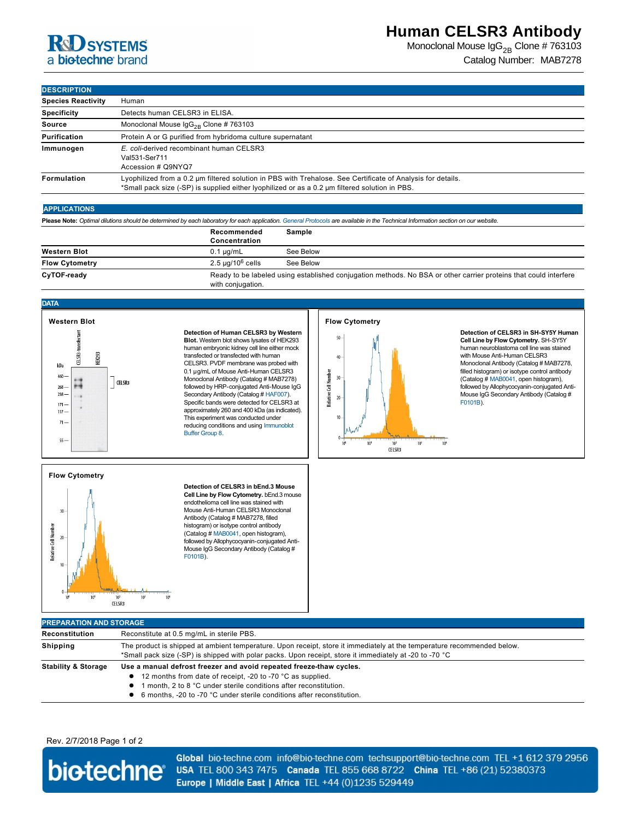## **R&D** SYSTEMS a biotechne brand

Monoclonal Mouse  $\text{lgG}_{2B}$  Clone # 763103 Catalog Number: MAB7278

**DESCRIPTION**

| <b>DESURIPTION</b>        |                                                                                                                                                                                                               |  |  |
|---------------------------|---------------------------------------------------------------------------------------------------------------------------------------------------------------------------------------------------------------|--|--|
| <b>Species Reactivity</b> | Human                                                                                                                                                                                                         |  |  |
| <b>Specificity</b>        | Detects human CELSR3 in ELISA.                                                                                                                                                                                |  |  |
| <b>Source</b>             | Monoclonal Mouse $\lg G_{2R}$ Clone # 763103                                                                                                                                                                  |  |  |
| Purification              | Protein A or G purified from hybridoma culture supernatant                                                                                                                                                    |  |  |
| Immunogen                 | E. coli-derived recombinant human CELSR3<br>Val531-Ser711<br>Accession # Q9NYQ7                                                                                                                               |  |  |
| Formulation               | Lyophilized from a 0.2 um filtered solution in PBS with Trehalose. See Certificate of Analysis for details.<br>*Small pack size (-SP) is supplied either lyophilized or as a 0.2 µm filtered solution in PBS. |  |  |

### **APPLICATIONS**

**Please Note:** *Optimal dilutions should be determined by each laboratory for each application. [General Protocols](http://www.rndsystems.com/resources/protocols-troubleshooting-guides) are available in the Technical Information section on our website.*

|                       | Recommended<br>Concentration | Sample                                                                                                           |  |
|-----------------------|------------------------------|------------------------------------------------------------------------------------------------------------------|--|
| <b>Western Blot</b>   | $0.1 \mu$ g/mL               | See Below                                                                                                        |  |
| <b>Flow Cytometry</b> | $2.5 \mu q/10^6$ cells       | See Below                                                                                                        |  |
| CyTOF-ready           | with conjugation.            | Ready to be labeled using established conjugation methods. No BSA or other carrier proteins that could interfere |  |

### **DATA**



**Detection of Human CELSR3 by Western Blot.** Western blot shows lysates of HEK293 human embryonic kidney cell line either mock transfected or transfected with human CELSR3. PVDF membrane was probed with 0.1 µg/mL of Mouse Anti-Human CELSR3 Monoclonal Antibody (Catalog # MAB7278) followed by HRP-conjugated Anti-Mouse IgG Secondary Antibody (Catalog # [HAF007\)](http://www.rndsystems.com/search?keywords=HAF007). Specific bands were detected for CELSR3 at approximately 260 and 400 kDa (as indicated). This experiment was conducted under [reducing conditions and using Immunoblot](http://www.rndsystems.com/resources/technical/western-blot-conditions)  Buffer Group 8.





**Detection of CELSR3 in SH-SY5Y Human Cell Line by Flow Cytometry. SH-SY5Y** human neuroblastoma cell line was stained with Mouse Anti-Human CELSR3 Monoclonal Antibody (Catalog # MAB7278, filled histogram) or isotype control antibody (Catalog # [MAB0041](http://www.rndsystems.com/search?keywords=MAB0041), open histogram), followed by Allophycocyanin-conjugated Anti-[Mouse I](http://www.rndsystems.com/search?keywords=F0101B)gG Secondary Antibody (Catalog # F0101B).

## **Flow Cytometry** Relative Cell Number  $\overline{20}$  $10<sup>3</sup>$  $\frac{1}{10}$  $10^{1}$ **CELSR3**

**Detection of CELSR3 in bEnd.3 Mouse Cell Line by Flow Cytometry.** bEnd.3 mouse endothelioma cell line was stained with Mouse Anti-Human CELSR3 Monoclonal followed by Allophycocyanin-conjugated Anti-[Mouse I](http://www.rndsystems.com/search?keywords=F0101B)gG Secondary Antibody (Catalog #

# Antibody (Catalog # MAB7278, filled histogram) or isotype control antibody (Catalog # [MAB0041](http://www.rndsystems.com/search?keywords=MAB0041), open histogram), F0101B).

### **PREPARATION AND STORAGE Reconstitution** Reconstitute at 0.5 mg/mL in sterile PBS. **Shipping** The product is shipped at ambient temperature. Upon receipt, store it immediately at the temperature recommended below. \*Small pack size (-SP) is shipped with polar packs. Upon receipt, store it immediately at -20 to -70 °C Stability & Storage Use a manual defrost freezer and avoid repeated freeze-thaw cycles. **12 months from date of receipt, -20 to -70 °C as supplied. 1** month, 2 to 8 °C under sterile conditions after reconstitution.

● 6 months, -20 to -70 °C under sterile conditions after reconstitution.

### Rev. 2/7/2018 Page 1 of 2



Global bio-techne.com info@bio-techne.com techsupport@bio-techne.com TEL +1 612 379 2956 USA TEL 800 343 7475 Canada TEL 855 668 8722 China TEL +86 (21) 52380373 Europe | Middle East | Africa TEL +44 (0)1235 529449